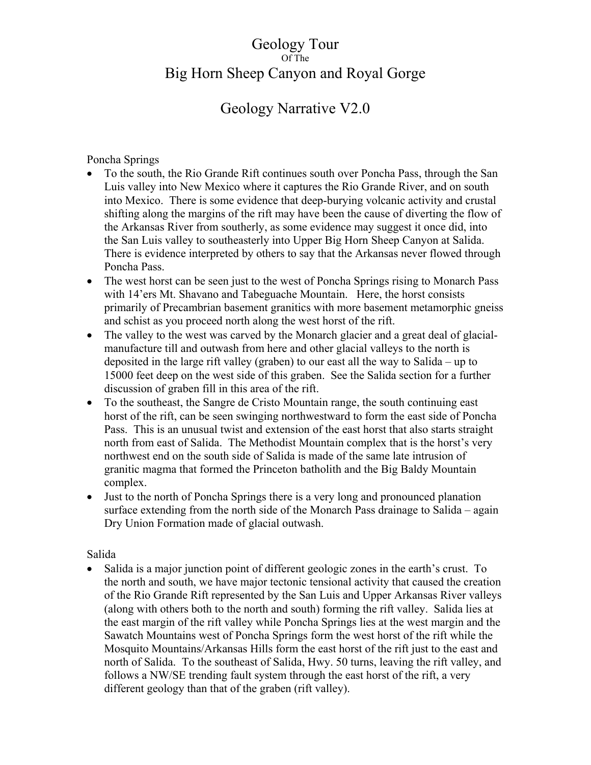#### Geology Tour Of The Big Horn Sheep Canyon and Royal Gorge

### Geology Narrative V2.0

#### Poncha Springs

- To the south, the Rio Grande Rift continues south over Poncha Pass, through the San Luis valley into New Mexico where it captures the Rio Grande River, and on south into Mexico. There is some evidence that deep-burying volcanic activity and crustal shifting along the margins of the rift may have been the cause of diverting the flow of the Arkansas River from southerly, as some evidence may suggest it once did, into the San Luis valley to southeasterly into Upper Big Horn Sheep Canyon at Salida. There is evidence interpreted by others to say that the Arkansas never flowed through Poncha Pass.
- The west horst can be seen just to the west of Poncha Springs rising to Monarch Pass with 14'ers Mt. Shavano and Tabeguache Mountain. Here, the horst consists primarily of Precambrian basement granitics with more basement metamorphic gneiss and schist as you proceed north along the west horst of the rift.
- The valley to the west was carved by the Monarch glacier and a great deal of glacialmanufacture till and outwash from here and other glacial valleys to the north is deposited in the large rift valley (graben) to our east all the way to Salida – up to 15000 feet deep on the west side of this graben. See the Salida section for a further discussion of graben fill in this area of the rift.
- To the southeast, the Sangre de Cristo Mountain range, the south continuing east horst of the rift, can be seen swinging northwestward to form the east side of Poncha Pass. This is an unusual twist and extension of the east horst that also starts straight north from east of Salida. The Methodist Mountain complex that is the horst's very northwest end on the south side of Salida is made of the same late intrusion of granitic magma that formed the Princeton batholith and the Big Baldy Mountain complex.
- Just to the north of Poncha Springs there is a very long and pronounced planation surface extending from the north side of the Monarch Pass drainage to Salida – again Dry Union Formation made of glacial outwash.

#### Salida

• Salida is a major junction point of different geologic zones in the earth's crust. To the north and south, we have major tectonic tensional activity that caused the creation of the Rio Grande Rift represented by the San Luis and Upper Arkansas River valleys (along with others both to the north and south) forming the rift valley. Salida lies at the east margin of the rift valley while Poncha Springs lies at the west margin and the Sawatch Mountains west of Poncha Springs form the west horst of the rift while the Mosquito Mountains/Arkansas Hills form the east horst of the rift just to the east and north of Salida. To the southeast of Salida, Hwy. 50 turns, leaving the rift valley, and follows a NW/SE trending fault system through the east horst of the rift, a very different geology than that of the graben (rift valley).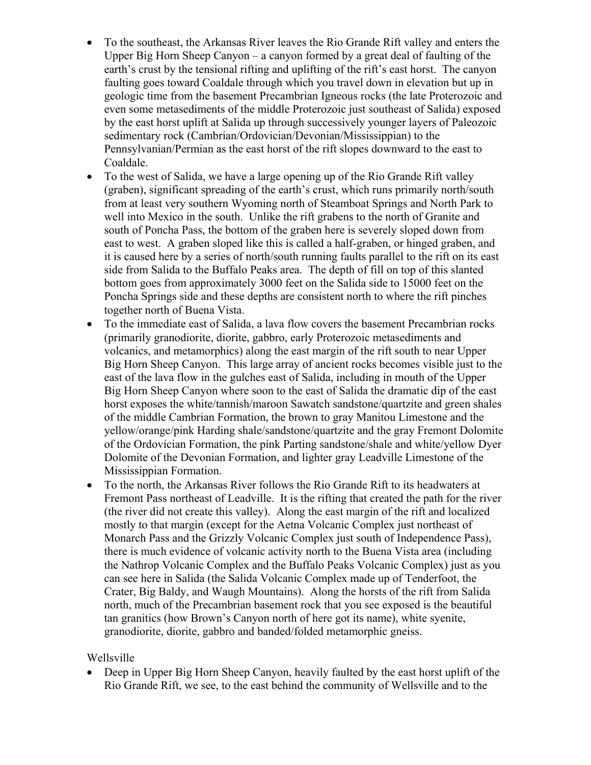- To the southeast, the Arkansas River leaves the Rio Grande Rift valley and enters the Upper Big Horn Sheep Canyon – a canyon formed by a great deal of faulting of the earth's crust by the tensional rifting and uplifting of the rift's east horst. The canyon faulting goes toward Coaldale through which you travel down in elevation but up in geologic time from the basement Precambrian Igneous rocks (the late Proterozoic and even some metasediments of the middle Proterozoic just southeast of Salida) exposed by the east horst uplift at Salida up through successively younger layers of Paleozoic sedimentary rock (Cambrian/Ordovician/Devonian/Mississippian) to the Pennsylvanian/Permian as the east horst of the rift slopes downward to the east to Coaldale.
- To the west of Salida, we have a large opening up of the Rio Grande Rift valley (graben), significant spreading of the earth's crust, which runs primarily north/south from at least very southern Wyoming north of Steamboat Springs and North Park to well into Mexico in the south. Unlike the rift grabens to the north of Granite and south of Poncha Pass, the bottom of the graben here is severely sloped down from east to west. A graben sloped like this is called a half-graben, or hinged graben, and it is caused here by a series of north/south running faults parallel to the rift on its east side from Salida to the Buffalo Peaks area. The depth of fill on top of this slanted bottom goes from approximately 3000 feet on the Salida side to 15000 feet on the Poncha Springs side and these depths are consistent north to where the rift pinches together north of Buena Vista.
- To the immediate east of Salida, a lava flow covers the basement Precambrian rocks (primarily granodiorite, diorite, gabbro, early Proterozoic metasediments and volcanics, and metamorphics) along the east margin of the rift south to near Upper Big Horn Sheep Canyon. This large array of ancient rocks becomes visible just to the east of the lava flow in the gulches east of Salida, including in mouth of the Upper Big Horn Sheep Canyon where soon to the east of Salida the dramatic dip of the east horst exposes the white/tannish/maroon Sawatch sandstone/quartzite and green shales of the middle Cambrian Formation, the brown to gray Manitou Limestone and the yellow/orange/pink Harding shale/sandstone/quartzite and the gray Fremont Dolomite of the Ordovician Formation, the pink Parting sandstone/shale and white/yellow Dyer Dolomite of the Devonian Formation, and lighter gray Leadville Limestone of the Mississippian Formation.
- To the north, the Arkansas River follows the Rio Grande Rift to its headwaters at Fremont Pass northeast of Leadville. It is the rifting that created the path for the river (the river did not create this valley). Along the east margin of the rift and localized mostly to that margin (except for the Aetna Volcanic Complex just northeast of Monarch Pass and the Grizzly Volcanic Complex just south of Independence Pass), there is much evidence of volcanic activity north to the Buena Vista area (including the Nathrop Volcanic Complex and the Buffalo Peaks Volcanic Complex) just as you can see here in Salida (the Salida Volcanic Complex made up of Tenderfoot, the Crater, Big Baldy, and Waugh Mountains). Along the horsts of the rift from Salida north, much of the Precambrian basement rock that you see exposed is the beautiful tan granitics (how Brown's Canyon north of here got its name), white syenite, granodiorite, diorite, gabbro and banded/folded metamorphic gneiss.

#### Wellsville

 Deep in Upper Big Horn Sheep Canyon, heavily faulted by the east horst uplift of the Rio Grande Rift, we see, to the east behind the community of Wellsville and to the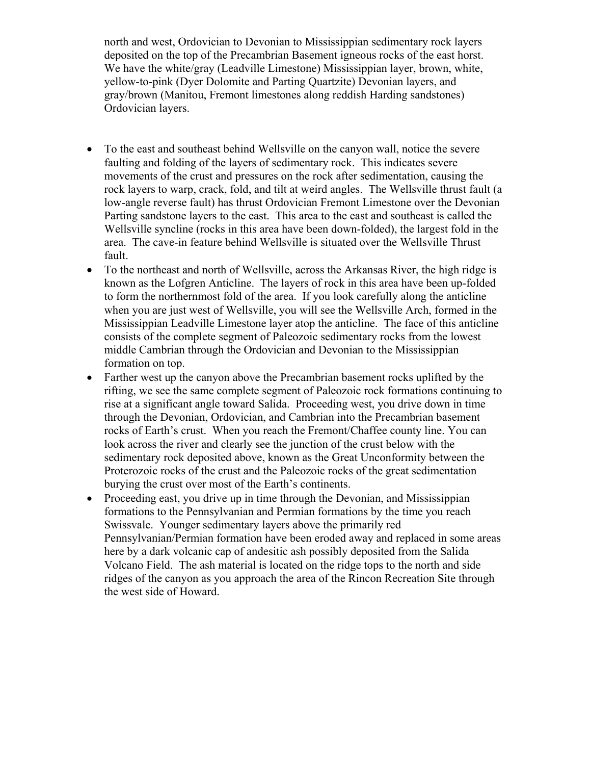north and west, Ordovician to Devonian to Mississippian sedimentary rock layers deposited on the top of the Precambrian Basement igneous rocks of the east horst. We have the white/gray (Leadville Limestone) Mississippian layer, brown, white, yellow-to-pink (Dyer Dolomite and Parting Quartzite) Devonian layers, and gray/brown (Manitou, Fremont limestones along reddish Harding sandstones) Ordovician layers.

- To the east and southeast behind Wellsville on the canyon wall, notice the severe faulting and folding of the layers of sedimentary rock. This indicates severe movements of the crust and pressures on the rock after sedimentation, causing the rock layers to warp, crack, fold, and tilt at weird angles. The Wellsville thrust fault (a low-angle reverse fault) has thrust Ordovician Fremont Limestone over the Devonian Parting sandstone layers to the east. This area to the east and southeast is called the Wellsville syncline (rocks in this area have been down-folded), the largest fold in the area. The cave-in feature behind Wellsville is situated over the Wellsville Thrust fault.
- To the northeast and north of Wellsville, across the Arkansas River, the high ridge is known as the Lofgren Anticline. The layers of rock in this area have been up-folded to form the northernmost fold of the area. If you look carefully along the anticline when you are just west of Wellsville, you will see the Wellsville Arch, formed in the Mississippian Leadville Limestone layer atop the anticline. The face of this anticline consists of the complete segment of Paleozoic sedimentary rocks from the lowest middle Cambrian through the Ordovician and Devonian to the Mississippian formation on top.
- Farther west up the canyon above the Precambrian basement rocks uplifted by the rifting, we see the same complete segment of Paleozoic rock formations continuing to rise at a significant angle toward Salida. Proceeding west, you drive down in time through the Devonian, Ordovician, and Cambrian into the Precambrian basement rocks of Earth's crust. When you reach the Fremont/Chaffee county line. You can look across the river and clearly see the junction of the crust below with the sedimentary rock deposited above, known as the Great Unconformity between the Proterozoic rocks of the crust and the Paleozoic rocks of the great sedimentation burying the crust over most of the Earth's continents.
- Proceeding east, you drive up in time through the Devonian, and Mississippian formations to the Pennsylvanian and Permian formations by the time you reach Swissvale. Younger sedimentary layers above the primarily red Pennsylvanian/Permian formation have been eroded away and replaced in some areas here by a dark volcanic cap of andesitic ash possibly deposited from the Salida Volcano Field. The ash material is located on the ridge tops to the north and side ridges of the canyon as you approach the area of the Rincon Recreation Site through the west side of Howard.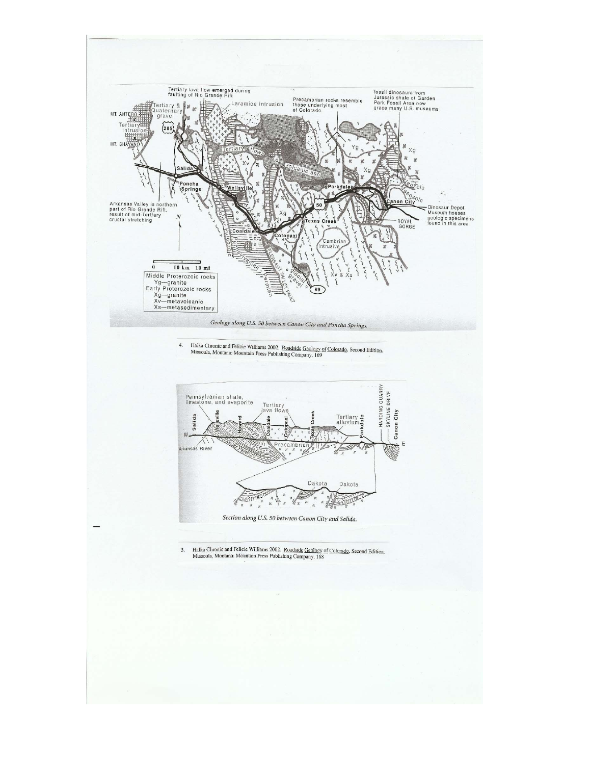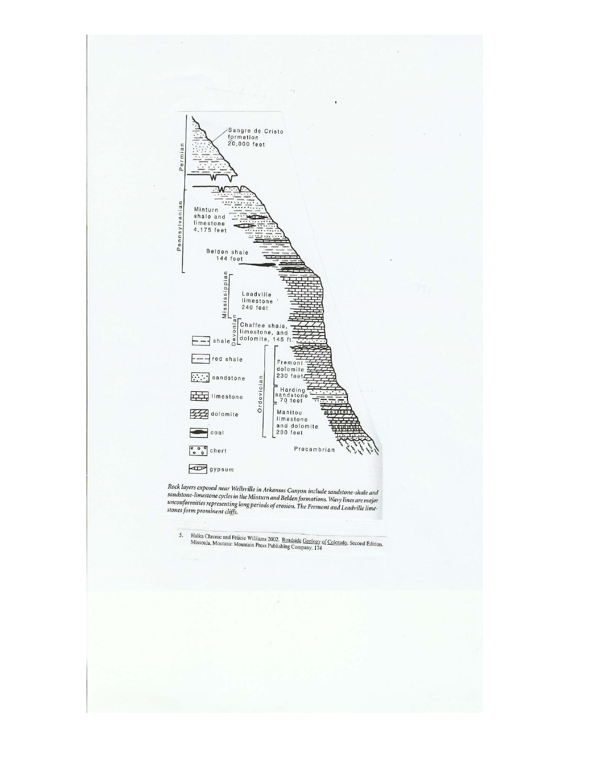

Rock layers exposed near Wellsville in Arkansas Canyon include sandstone-shale and<br>sandstone-limestone cycles in the Minturn and Belden formations. Wavy lines are major<br>unconformities representing long periods of erosion.

5. Halka Chronic and Felicie Williams 2002. Roadside Geology of Colorado, Second Edition. Missoula, Montana: Mountain Press Publishing Company, 174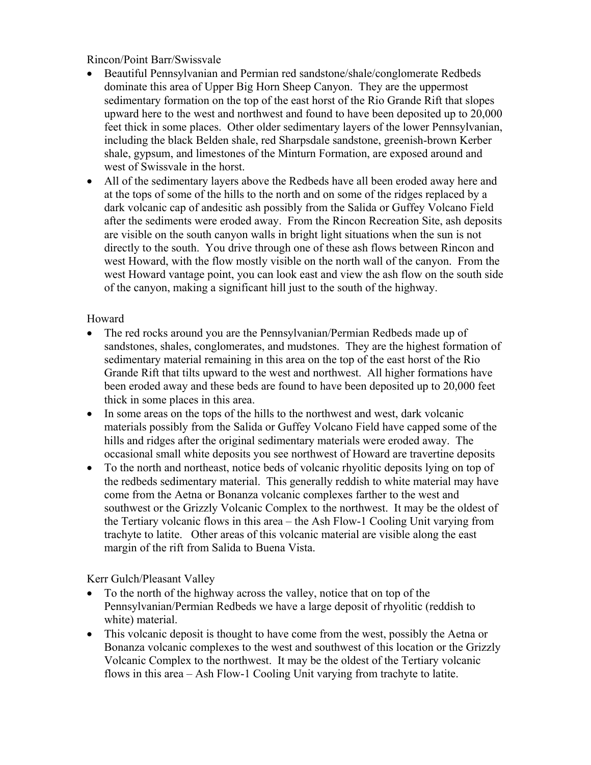Rincon/Point Barr/Swissvale

- Beautiful Pennsylvanian and Permian red sandstone/shale/conglomerate Redbeds dominate this area of Upper Big Horn Sheep Canyon. They are the uppermost sedimentary formation on the top of the east horst of the Rio Grande Rift that slopes upward here to the west and northwest and found to have been deposited up to 20,000 feet thick in some places. Other older sedimentary layers of the lower Pennsylvanian, including the black Belden shale, red Sharpsdale sandstone, greenish-brown Kerber shale, gypsum, and limestones of the Minturn Formation, are exposed around and west of Swissvale in the horst.
- All of the sedimentary layers above the Redbeds have all been eroded away here and at the tops of some of the hills to the north and on some of the ridges replaced by a dark volcanic cap of andesitic ash possibly from the Salida or Guffey Volcano Field after the sediments were eroded away. From the Rincon Recreation Site, ash deposits are visible on the south canyon walls in bright light situations when the sun is not directly to the south. You drive through one of these ash flows between Rincon and west Howard, with the flow mostly visible on the north wall of the canyon. From the west Howard vantage point, you can look east and view the ash flow on the south side of the canyon, making a significant hill just to the south of the highway.

#### Howard

- The red rocks around you are the Pennsylvanian/Permian Redbeds made up of sandstones, shales, conglomerates, and mudstones. They are the highest formation of sedimentary material remaining in this area on the top of the east horst of the Rio Grande Rift that tilts upward to the west and northwest. All higher formations have been eroded away and these beds are found to have been deposited up to 20,000 feet thick in some places in this area.
- In some areas on the tops of the hills to the northwest and west, dark volcanic materials possibly from the Salida or Guffey Volcano Field have capped some of the hills and ridges after the original sedimentary materials were eroded away. The occasional small white deposits you see northwest of Howard are travertine deposits
- To the north and northeast, notice beds of volcanic rhyolitic deposits lying on top of the redbeds sedimentary material. This generally reddish to white material may have come from the Aetna or Bonanza volcanic complexes farther to the west and southwest or the Grizzly Volcanic Complex to the northwest. It may be the oldest of the Tertiary volcanic flows in this area – the Ash Flow-1 Cooling Unit varying from trachyte to latite. Other areas of this volcanic material are visible along the east margin of the rift from Salida to Buena Vista.

Kerr Gulch/Pleasant Valley

- To the north of the highway across the valley, notice that on top of the Pennsylvanian/Permian Redbeds we have a large deposit of rhyolitic (reddish to white) material.
- This volcanic deposit is thought to have come from the west, possibly the Aetna or Bonanza volcanic complexes to the west and southwest of this location or the Grizzly Volcanic Complex to the northwest. It may be the oldest of the Tertiary volcanic flows in this area – Ash Flow-1 Cooling Unit varying from trachyte to latite.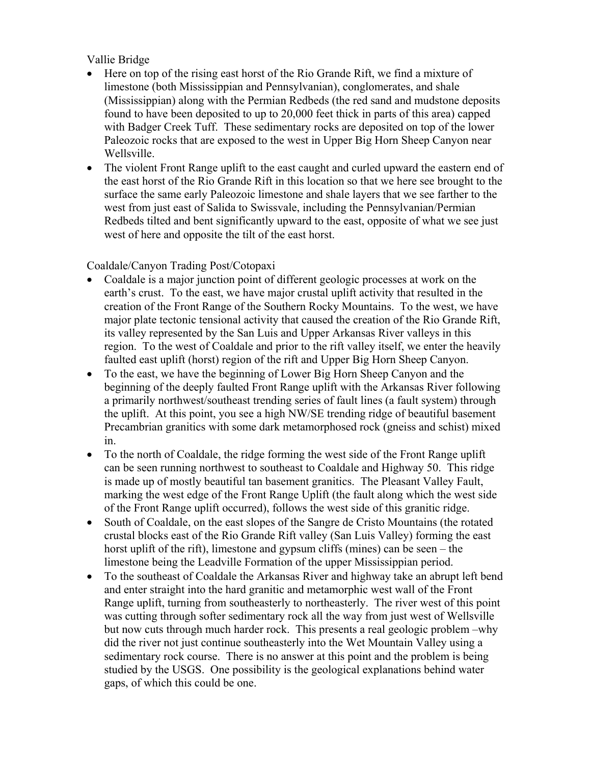#### Vallie Bridge

- Here on top of the rising east horst of the Rio Grande Rift, we find a mixture of limestone (both Mississippian and Pennsylvanian), conglomerates, and shale (Mississippian) along with the Permian Redbeds (the red sand and mudstone deposits found to have been deposited to up to 20,000 feet thick in parts of this area) capped with Badger Creek Tuff. These sedimentary rocks are deposited on top of the lower Paleozoic rocks that are exposed to the west in Upper Big Horn Sheep Canyon near Wellsville.
- The violent Front Range uplift to the east caught and curled upward the eastern end of the east horst of the Rio Grande Rift in this location so that we here see brought to the surface the same early Paleozoic limestone and shale layers that we see farther to the west from just east of Salida to Swissvale, including the Pennsylvanian/Permian Redbeds tilted and bent significantly upward to the east, opposite of what we see just west of here and opposite the tilt of the east horst.

#### Coaldale/Canyon Trading Post/Cotopaxi

- Coaldale is a major junction point of different geologic processes at work on the earth's crust. To the east, we have major crustal uplift activity that resulted in the creation of the Front Range of the Southern Rocky Mountains. To the west, we have major plate tectonic tensional activity that caused the creation of the Rio Grande Rift, its valley represented by the San Luis and Upper Arkansas River valleys in this region. To the west of Coaldale and prior to the rift valley itself, we enter the heavily faulted east uplift (horst) region of the rift and Upper Big Horn Sheep Canyon.
- To the east, we have the beginning of Lower Big Horn Sheep Canyon and the beginning of the deeply faulted Front Range uplift with the Arkansas River following a primarily northwest/southeast trending series of fault lines (a fault system) through the uplift. At this point, you see a high NW/SE trending ridge of beautiful basement Precambrian granitics with some dark metamorphosed rock (gneiss and schist) mixed in.
- To the north of Coaldale, the ridge forming the west side of the Front Range uplift can be seen running northwest to southeast to Coaldale and Highway 50. This ridge is made up of mostly beautiful tan basement granitics. The Pleasant Valley Fault, marking the west edge of the Front Range Uplift (the fault along which the west side of the Front Range uplift occurred), follows the west side of this granitic ridge.
- South of Coaldale, on the east slopes of the Sangre de Cristo Mountains (the rotated crustal blocks east of the Rio Grande Rift valley (San Luis Valley) forming the east horst uplift of the rift), limestone and gypsum cliffs (mines) can be seen – the limestone being the Leadville Formation of the upper Mississippian period.
- To the southeast of Coaldale the Arkansas River and highway take an abrupt left bend and enter straight into the hard granitic and metamorphic west wall of the Front Range uplift, turning from southeasterly to northeasterly. The river west of this point was cutting through softer sedimentary rock all the way from just west of Wellsville but now cuts through much harder rock. This presents a real geologic problem –why did the river not just continue southeasterly into the Wet Mountain Valley using a sedimentary rock course. There is no answer at this point and the problem is being studied by the USGS. One possibility is the geological explanations behind water gaps, of which this could be one.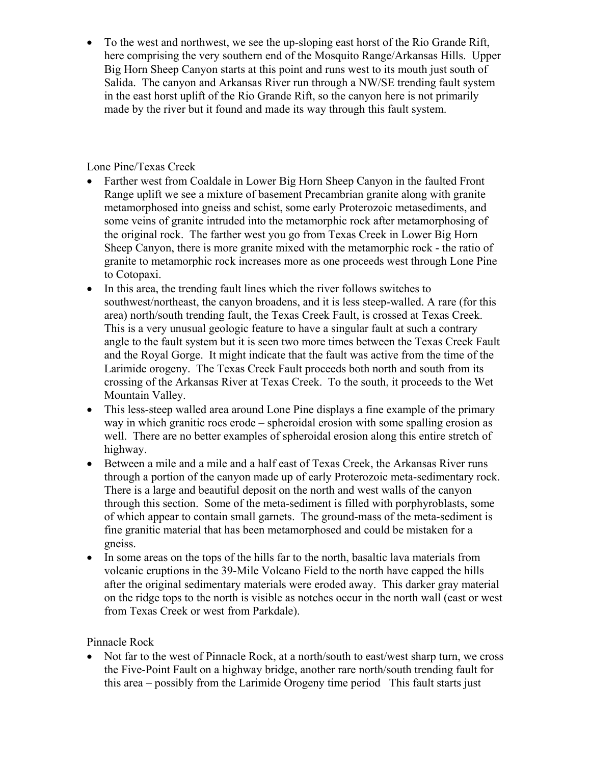To the west and northwest, we see the up-sloping east horst of the Rio Grande Rift, here comprising the very southern end of the Mosquito Range/Arkansas Hills. Upper Big Horn Sheep Canyon starts at this point and runs west to its mouth just south of Salida. The canyon and Arkansas River run through a NW/SE trending fault system in the east horst uplift of the Rio Grande Rift, so the canyon here is not primarily made by the river but it found and made its way through this fault system.

Lone Pine/Texas Creek

- Farther west from Coaldale in Lower Big Horn Sheep Canyon in the faulted Front Range uplift we see a mixture of basement Precambrian granite along with granite metamorphosed into gneiss and schist, some early Proterozoic metasediments, and some veins of granite intruded into the metamorphic rock after metamorphosing of the original rock. The farther west you go from Texas Creek in Lower Big Horn Sheep Canyon, there is more granite mixed with the metamorphic rock - the ratio of granite to metamorphic rock increases more as one proceeds west through Lone Pine to Cotopaxi.
- In this area, the trending fault lines which the river follows switches to southwest/northeast, the canyon broadens, and it is less steep-walled. A rare (for this area) north/south trending fault, the Texas Creek Fault, is crossed at Texas Creek. This is a very unusual geologic feature to have a singular fault at such a contrary angle to the fault system but it is seen two more times between the Texas Creek Fault and the Royal Gorge. It might indicate that the fault was active from the time of the Larimide orogeny. The Texas Creek Fault proceeds both north and south from its crossing of the Arkansas River at Texas Creek. To the south, it proceeds to the Wet Mountain Valley.
- This less-steep walled area around Lone Pine displays a fine example of the primary way in which granitic rocs erode – spheroidal erosion with some spalling erosion as well. There are no better examples of spheroidal erosion along this entire stretch of highway.
- Between a mile and a mile and a half east of Texas Creek, the Arkansas River runs through a portion of the canyon made up of early Proterozoic meta-sedimentary rock. There is a large and beautiful deposit on the north and west walls of the canyon through this section. Some of the meta-sediment is filled with porphyroblasts, some of which appear to contain small garnets. The ground-mass of the meta-sediment is fine granitic material that has been metamorphosed and could be mistaken for a gneiss.
- In some areas on the tops of the hills far to the north, basaltic lava materials from volcanic eruptions in the 39-Mile Volcano Field to the north have capped the hills after the original sedimentary materials were eroded away. This darker gray material on the ridge tops to the north is visible as notches occur in the north wall (east or west from Texas Creek or west from Parkdale).

Pinnacle Rock

 Not far to the west of Pinnacle Rock, at a north/south to east/west sharp turn, we cross the Five-Point Fault on a highway bridge, another rare north/south trending fault for this area – possibly from the Larimide Orogeny time period This fault starts just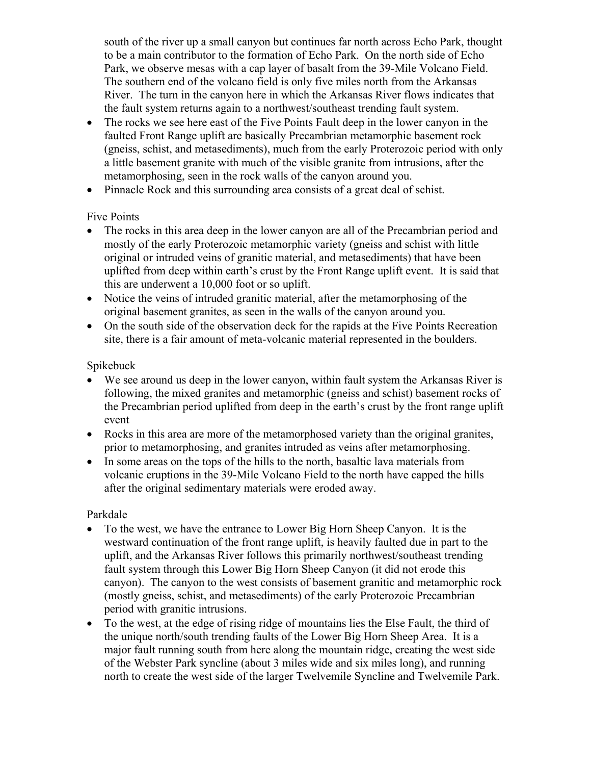south of the river up a small canyon but continues far north across Echo Park, thought to be a main contributor to the formation of Echo Park. On the north side of Echo Park, we observe mesas with a cap layer of basalt from the 39-Mile Volcano Field. The southern end of the volcano field is only five miles north from the Arkansas River. The turn in the canyon here in which the Arkansas River flows indicates that the fault system returns again to a northwest/southeast trending fault system.

- The rocks we see here east of the Five Points Fault deep in the lower canyon in the faulted Front Range uplift are basically Precambrian metamorphic basement rock (gneiss, schist, and metasediments), much from the early Proterozoic period with only a little basement granite with much of the visible granite from intrusions, after the metamorphosing, seen in the rock walls of the canyon around you.
- Pinnacle Rock and this surrounding area consists of a great deal of schist.

#### Five Points

- The rocks in this area deep in the lower canyon are all of the Precambrian period and mostly of the early Proterozoic metamorphic variety (gneiss and schist with little original or intruded veins of granitic material, and metasediments) that have been uplifted from deep within earth's crust by the Front Range uplift event. It is said that this are underwent a 10,000 foot or so uplift.
- Notice the veins of intruded granitic material, after the metamorphosing of the original basement granites, as seen in the walls of the canyon around you.
- On the south side of the observation deck for the rapids at the Five Points Recreation site, there is a fair amount of meta-volcanic material represented in the boulders.

#### Spikebuck

- We see around us deep in the lower canyon, within fault system the Arkansas River is following, the mixed granites and metamorphic (gneiss and schist) basement rocks of the Precambrian period uplifted from deep in the earth's crust by the front range uplift event
- Rocks in this area are more of the metamorphosed variety than the original granites, prior to metamorphosing, and granites intruded as veins after metamorphosing.
- In some areas on the tops of the hills to the north, basaltic lava materials from volcanic eruptions in the 39-Mile Volcano Field to the north have capped the hills after the original sedimentary materials were eroded away.

#### Parkdale

- To the west, we have the entrance to Lower Big Horn Sheep Canyon. It is the westward continuation of the front range uplift, is heavily faulted due in part to the uplift, and the Arkansas River follows this primarily northwest/southeast trending fault system through this Lower Big Horn Sheep Canyon (it did not erode this canyon). The canyon to the west consists of basement granitic and metamorphic rock (mostly gneiss, schist, and metasediments) of the early Proterozoic Precambrian period with granitic intrusions.
- To the west, at the edge of rising ridge of mountains lies the Else Fault, the third of the unique north/south trending faults of the Lower Big Horn Sheep Area. It is a major fault running south from here along the mountain ridge, creating the west side of the Webster Park syncline (about 3 miles wide and six miles long), and running north to create the west side of the larger Twelvemile Syncline and Twelvemile Park.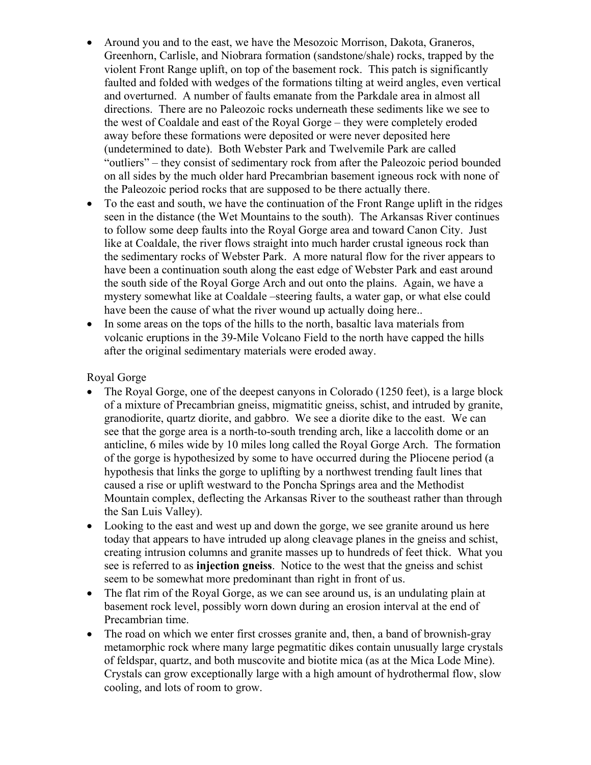- Around you and to the east, we have the Mesozoic Morrison, Dakota, Graneros, Greenhorn, Carlisle, and Niobrara formation (sandstone/shale) rocks, trapped by the violent Front Range uplift, on top of the basement rock. This patch is significantly faulted and folded with wedges of the formations tilting at weird angles, even vertical and overturned. A number of faults emanate from the Parkdale area in almost all directions. There are no Paleozoic rocks underneath these sediments like we see to the west of Coaldale and east of the Royal Gorge – they were completely eroded away before these formations were deposited or were never deposited here (undetermined to date). Both Webster Park and Twelvemile Park are called "outliers" – they consist of sedimentary rock from after the Paleozoic period bounded on all sides by the much older hard Precambrian basement igneous rock with none of the Paleozoic period rocks that are supposed to be there actually there.
- To the east and south, we have the continuation of the Front Range uplift in the ridges seen in the distance (the Wet Mountains to the south). The Arkansas River continues to follow some deep faults into the Royal Gorge area and toward Canon City. Just like at Coaldale, the river flows straight into much harder crustal igneous rock than the sedimentary rocks of Webster Park. A more natural flow for the river appears to have been a continuation south along the east edge of Webster Park and east around the south side of the Royal Gorge Arch and out onto the plains. Again, we have a mystery somewhat like at Coaldale –steering faults, a water gap, or what else could have been the cause of what the river wound up actually doing here..
- In some areas on the tops of the hills to the north, basaltic lava materials from volcanic eruptions in the 39-Mile Volcano Field to the north have capped the hills after the original sedimentary materials were eroded away.

#### Royal Gorge

- The Royal Gorge, one of the deepest canyons in Colorado (1250 feet), is a large block of a mixture of Precambrian gneiss, migmatitic gneiss, schist, and intruded by granite, granodiorite, quartz diorite, and gabbro. We see a diorite dike to the east. We can see that the gorge area is a north-to-south trending arch, like a laccolith dome or an anticline, 6 miles wide by 10 miles long called the Royal Gorge Arch. The formation of the gorge is hypothesized by some to have occurred during the Pliocene period (a hypothesis that links the gorge to uplifting by a northwest trending fault lines that caused a rise or uplift westward to the Poncha Springs area and the Methodist Mountain complex, deflecting the Arkansas River to the southeast rather than through the San Luis Valley).
- Looking to the east and west up and down the gorge, we see granite around us here today that appears to have intruded up along cleavage planes in the gneiss and schist, creating intrusion columns and granite masses up to hundreds of feet thick. What you see is referred to as **injection gneiss**. Notice to the west that the gneiss and schist seem to be somewhat more predominant than right in front of us.
- The flat rim of the Royal Gorge, as we can see around us, is an undulating plain at basement rock level, possibly worn down during an erosion interval at the end of Precambrian time.
- The road on which we enter first crosses granite and, then, a band of brownish-gray metamorphic rock where many large pegmatitic dikes contain unusually large crystals of feldspar, quartz, and both muscovite and biotite mica (as at the Mica Lode Mine). Crystals can grow exceptionally large with a high amount of hydrothermal flow, slow cooling, and lots of room to grow.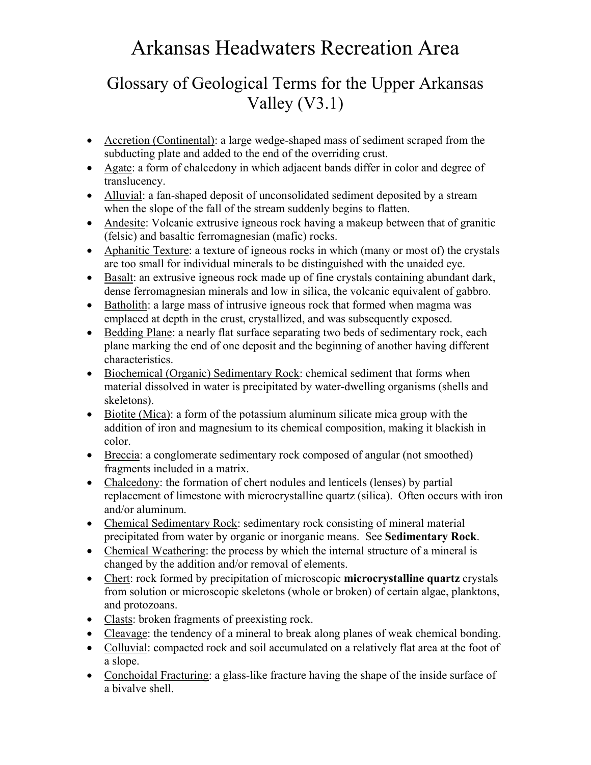# Arkansas Headwaters Recreation Area

## Glossary of Geological Terms for the Upper Arkansas Valley (V3.1)

- Accretion (Continental): a large wedge-shaped mass of sediment scraped from the subducting plate and added to the end of the overriding crust.
- Agate: a form of chalcedony in which adjacent bands differ in color and degree of translucency.
- Alluvial: a fan-shaped deposit of unconsolidated sediment deposited by a stream when the slope of the fall of the stream suddenly begins to flatten.
- Andesite: Volcanic extrusive igneous rock having a makeup between that of granitic (felsic) and basaltic ferromagnesian (mafic) rocks.
- Aphanitic Texture: a texture of igneous rocks in which (many or most of) the crystals are too small for individual minerals to be distinguished with the unaided eye.
- Basalt: an extrusive igneous rock made up of fine crystals containing abundant dark, dense ferromagnesian minerals and low in silica, the volcanic equivalent of gabbro.
- Batholith: a large mass of intrusive igneous rock that formed when magma was emplaced at depth in the crust, crystallized, and was subsequently exposed.
- Bedding Plane: a nearly flat surface separating two beds of sedimentary rock, each plane marking the end of one deposit and the beginning of another having different characteristics.
- Biochemical (Organic) Sedimentary Rock: chemical sediment that forms when material dissolved in water is precipitated by water-dwelling organisms (shells and skeletons).
- Biotite (Mica): a form of the potassium aluminum silicate mica group with the addition of iron and magnesium to its chemical composition, making it blackish in color.
- Breccia: a conglomerate sedimentary rock composed of angular (not smoothed) fragments included in a matrix.
- Chalcedony: the formation of chert nodules and lenticels (lenses) by partial replacement of limestone with microcrystalline quartz (silica). Often occurs with iron and/or aluminum.
- Chemical Sedimentary Rock: sedimentary rock consisting of mineral material precipitated from water by organic or inorganic means. See **Sedimentary Rock**.
- Chemical Weathering: the process by which the internal structure of a mineral is changed by the addition and/or removal of elements.
- Chert: rock formed by precipitation of microscopic **microcrystalline quartz** crystals from solution or microscopic skeletons (whole or broken) of certain algae, planktons, and protozoans.
- Clasts: broken fragments of preexisting rock.
- Cleavage: the tendency of a mineral to break along planes of weak chemical bonding.
- Colluvial: compacted rock and soil accumulated on a relatively flat area at the foot of a slope.
- Conchoidal Fracturing: a glass-like fracture having the shape of the inside surface of a bivalve shell.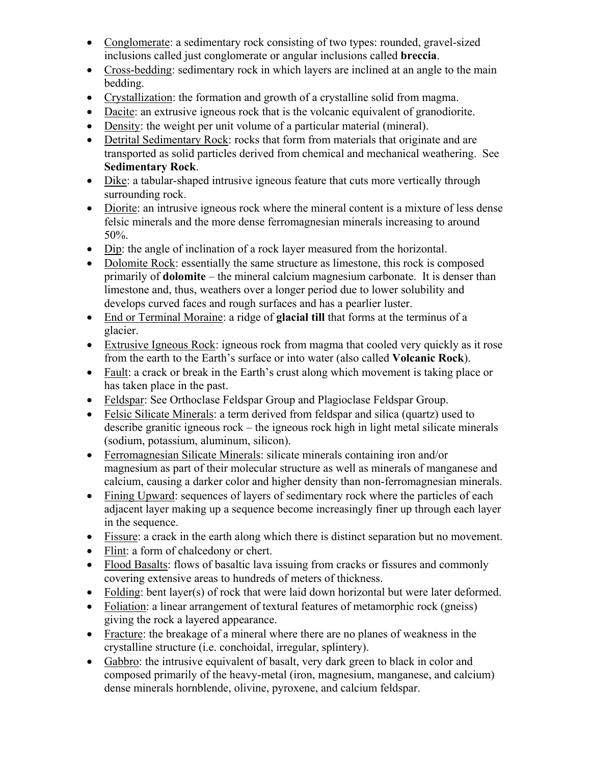- Conglomerate: a sedimentary rock consisting of two types: rounded, gravel-sized inclusions called just conglomerate or angular inclusions called **breccia**.
- Cross-bedding: sedimentary rock in which layers are inclined at an angle to the main bedding.
- Crystallization: the formation and growth of a crystalline solid from magma.
- Dacite: an extrusive igneous rock that is the volcanic equivalent of granodiorite.
- Density: the weight per unit volume of a particular material (mineral).
- Detrital Sedimentary Rock: rocks that form from materials that originate and are transported as solid particles derived from chemical and mechanical weathering. See **Sedimentary Rock**.
- Dike: a tabular-shaped intrusive igneous feature that cuts more vertically through surrounding rock.
- Diorite: an intrusive igneous rock where the mineral content is a mixture of less dense felsic minerals and the more dense ferromagnesian minerals increasing to around 50%.
- Dip: the angle of inclination of a rock layer measured from the horizontal.
- Dolomite Rock: essentially the same structure as limestone, this rock is composed primarily of **dolomite** – the mineral calcium magnesium carbonate. It is denser than limestone and, thus, weathers over a longer period due to lower solubility and develops curved faces and rough surfaces and has a pearlier luster.
- End or Terminal Moraine: a ridge of **glacial till** that forms at the terminus of a glacier.
- Extrusive Igneous Rock: igneous rock from magma that cooled very quickly as it rose from the earth to the Earth's surface or into water (also called **Volcanic Rock**).
- Fault: a crack or break in the Earth's crust along which movement is taking place or has taken place in the past.
- Feldspar: See Orthoclase Feldspar Group and Plagioclase Feldspar Group.
- Felsic Silicate Minerals: a term derived from feldspar and silica (quartz) used to describe granitic igneous rock – the igneous rock high in light metal silicate minerals (sodium, potassium, aluminum, silicon).
- Ferromagnesian Silicate Minerals: silicate minerals containing iron and/or magnesium as part of their molecular structure as well as minerals of manganese and calcium, causing a darker color and higher density than non-ferromagnesian minerals.
- Fining Upward: sequences of layers of sedimentary rock where the particles of each adjacent layer making up a sequence become increasingly finer up through each layer in the sequence.
- Fissure: a crack in the earth along which there is distinct separation but no movement.
- Flint: a form of chalcedony or chert.
- Flood Basalts: flows of basaltic lava issuing from cracks or fissures and commonly covering extensive areas to hundreds of meters of thickness.
- Folding: bent layer(s) of rock that were laid down horizontal but were later deformed.
- Foliation: a linear arrangement of textural features of metamorphic rock (gneiss) giving the rock a layered appearance.
- Fracture: the breakage of a mineral where there are no planes of weakness in the crystalline structure (i.e. conchoidal, irregular, splintery).
- Gabbro: the intrusive equivalent of basalt, very dark green to black in color and composed primarily of the heavy-metal (iron, magnesium, manganese, and calcium) dense minerals hornblende, olivine, pyroxene, and calcium feldspar.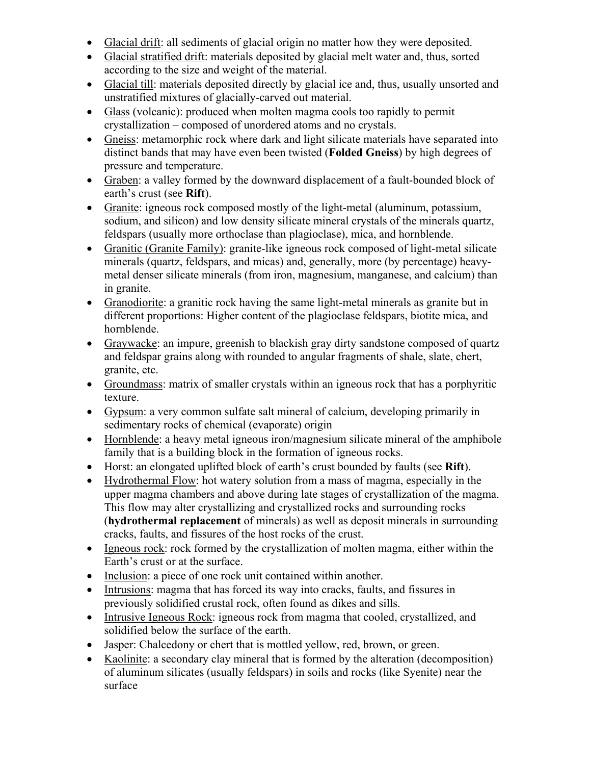- Glacial drift: all sediments of glacial origin no matter how they were deposited.
- Glacial stratified drift: materials deposited by glacial melt water and, thus, sorted according to the size and weight of the material.
- Glacial till: materials deposited directly by glacial ice and, thus, usually unsorted and unstratified mixtures of glacially-carved out material.
- Glass (volcanic): produced when molten magma cools too rapidly to permit crystallization – composed of unordered atoms and no crystals.
- Gneiss: metamorphic rock where dark and light silicate materials have separated into distinct bands that may have even been twisted (**Folded Gneiss**) by high degrees of pressure and temperature.
- Graben: a valley formed by the downward displacement of a fault-bounded block of earth's crust (see **Rift**).
- Granite: igneous rock composed mostly of the light-metal (aluminum, potassium, sodium, and silicon) and low density silicate mineral crystals of the minerals quartz, feldspars (usually more orthoclase than plagioclase), mica, and hornblende.
- Granitic (Granite Family): granite-like igneous rock composed of light-metal silicate minerals (quartz, feldspars, and micas) and, generally, more (by percentage) heavymetal denser silicate minerals (from iron, magnesium, manganese, and calcium) than in granite.
- Granodiorite: a granitic rock having the same light-metal minerals as granite but in different proportions: Higher content of the plagioclase feldspars, biotite mica, and hornblende.
- Graywacke: an impure, greenish to blackish gray dirty sandstone composed of quartz and feldspar grains along with rounded to angular fragments of shale, slate, chert, granite, etc.
- Groundmass: matrix of smaller crystals within an igneous rock that has a porphyritic texture.
- Gypsum: a very common sulfate salt mineral of calcium, developing primarily in sedimentary rocks of chemical (evaporate) origin
- Hornblende: a heavy metal igneous iron/magnesium silicate mineral of the amphibole family that is a building block in the formation of igneous rocks.
- Horst: an elongated uplifted block of earth's crust bounded by faults (see **Rift**).
- Hydrothermal Flow: hot watery solution from a mass of magma, especially in the upper magma chambers and above during late stages of crystallization of the magma. This flow may alter crystallizing and crystallized rocks and surrounding rocks (**hydrothermal replacement** of minerals) as well as deposit minerals in surrounding cracks, faults, and fissures of the host rocks of the crust.
- Igneous rock: rock formed by the crystallization of molten magma, either within the Earth's crust or at the surface.
- Inclusion: a piece of one rock unit contained within another.
- Intrusions: magma that has forced its way into cracks, faults, and fissures in previously solidified crustal rock, often found as dikes and sills.
- Intrusive Igneous Rock: igneous rock from magma that cooled, crystallized, and solidified below the surface of the earth.
- Jasper: Chalcedony or chert that is mottled yellow, red, brown, or green.
- Kaolinite: a secondary clay mineral that is formed by the alteration (decomposition) of aluminum silicates (usually feldspars) in soils and rocks (like Syenite) near the surface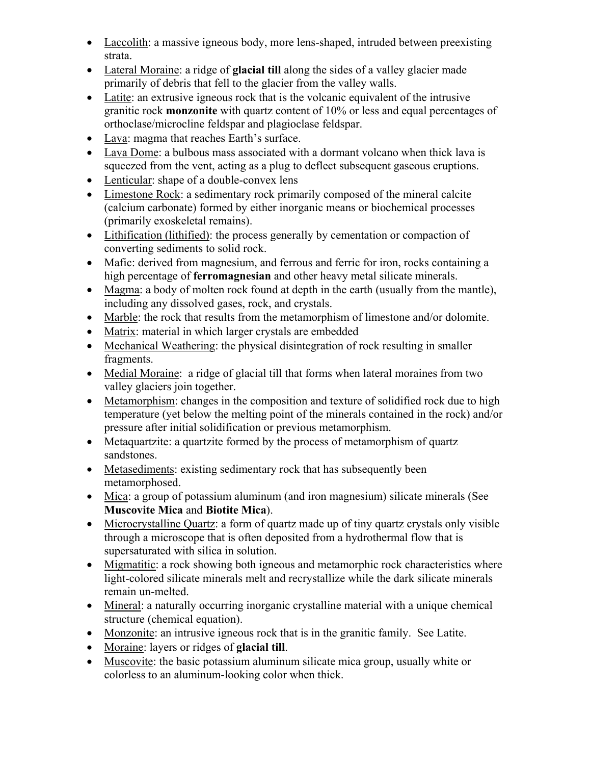- Laccolith: a massive igneous body, more lens-shaped, intruded between preexisting strata.
- Lateral Moraine: a ridge of **glacial till** along the sides of a valley glacier made primarily of debris that fell to the glacier from the valley walls.
- Latite: an extrusive igneous rock that is the volcanic equivalent of the intrusive granitic rock **monzonite** with quartz content of 10% or less and equal percentages of orthoclase/microcline feldspar and plagioclase feldspar.
- Lava: magma that reaches Earth's surface.
- Lava Dome: a bulbous mass associated with a dormant volcano when thick lava is squeezed from the vent, acting as a plug to deflect subsequent gaseous eruptions.
- Lenticular: shape of a double-convex lens
- Limestone Rock: a sedimentary rock primarily composed of the mineral calcite (calcium carbonate) formed by either inorganic means or biochemical processes (primarily exoskeletal remains).
- Lithification (lithified): the process generally by cementation or compaction of converting sediments to solid rock.
- Mafic: derived from magnesium, and ferrous and ferric for iron, rocks containing a high percentage of **ferromagnesian** and other heavy metal silicate minerals.
- Magma: a body of molten rock found at depth in the earth (usually from the mantle), including any dissolved gases, rock, and crystals.
- Marble: the rock that results from the metamorphism of limestone and/or dolomite.
- Matrix: material in which larger crystals are embedded
- Mechanical Weathering: the physical disintegration of rock resulting in smaller fragments.
- Medial Moraine: a ridge of glacial till that forms when lateral moraines from two valley glaciers join together.
- Metamorphism: changes in the composition and texture of solidified rock due to high temperature (yet below the melting point of the minerals contained in the rock) and/or pressure after initial solidification or previous metamorphism.
- Metaquartzite: a quartzite formed by the process of metamorphism of quartz sandstones.
- Metasediments: existing sedimentary rock that has subsequently been metamorphosed.
- Mica: a group of potassium aluminum (and iron magnesium) silicate minerals (See **Muscovite Mica** and **Biotite Mica**).
- Microcrystalline Quartz: a form of quartz made up of tiny quartz crystals only visible through a microscope that is often deposited from a hydrothermal flow that is supersaturated with silica in solution.
- Migmatitic: a rock showing both igneous and metamorphic rock characteristics where light-colored silicate minerals melt and recrystallize while the dark silicate minerals remain un-melted.
- Mineral: a naturally occurring inorganic crystalline material with a unique chemical structure (chemical equation).
- Monzonite: an intrusive igneous rock that is in the granitic family. See Latite.
- Moraine: layers or ridges of **glacial till**.
- Muscovite: the basic potassium aluminum silicate mica group, usually white or colorless to an aluminum-looking color when thick.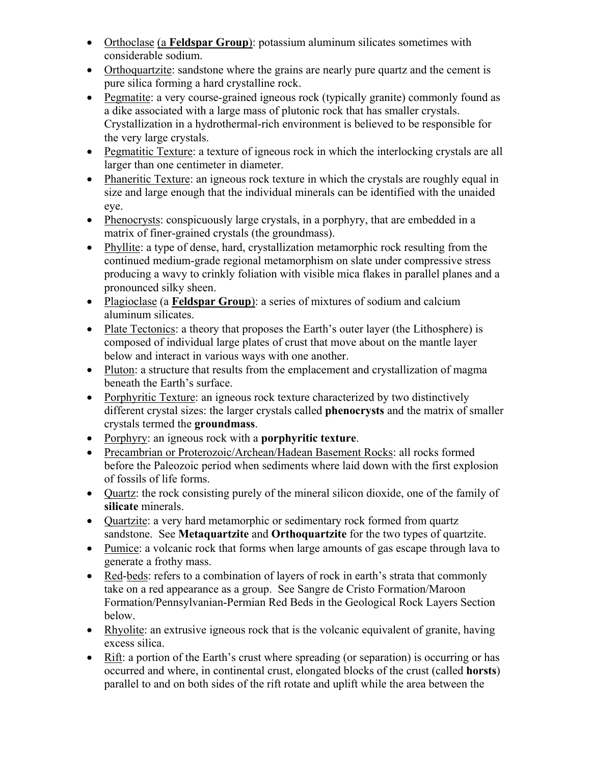- Orthoclase (a **Feldspar Group**): potassium aluminum silicates sometimes with considerable sodium.
- Orthoquartzite: sandstone where the grains are nearly pure quartz and the cement is pure silica forming a hard crystalline rock.
- Pegmatite: a very course-grained igneous rock (typically granite) commonly found as a dike associated with a large mass of plutonic rock that has smaller crystals. Crystallization in a hydrothermal-rich environment is believed to be responsible for the very large crystals.
- Pegmatitic Texture: a texture of igneous rock in which the interlocking crystals are all larger than one centimeter in diameter.
- Phaneritic Texture: an igneous rock texture in which the crystals are roughly equal in size and large enough that the individual minerals can be identified with the unaided eye.
- Phenocrysts: conspicuously large crystals, in a porphyry, that are embedded in a matrix of finer-grained crystals (the groundmass).
- Phyllite: a type of dense, hard, crystallization metamorphic rock resulting from the continued medium-grade regional metamorphism on slate under compressive stress producing a wavy to crinkly foliation with visible mica flakes in parallel planes and a pronounced silky sheen.
- Plagioclase (a **Feldspar Group**): a series of mixtures of sodium and calcium aluminum silicates.
- Plate Tectonics: a theory that proposes the Earth's outer layer (the Lithosphere) is composed of individual large plates of crust that move about on the mantle layer below and interact in various ways with one another.
- Pluton: a structure that results from the emplacement and crystallization of magma beneath the Earth's surface.
- Porphyritic Texture: an igneous rock texture characterized by two distinctively different crystal sizes: the larger crystals called **phenocrysts** and the matrix of smaller crystals termed the **groundmass**.
- Porphyry: an igneous rock with a **porphyritic texture**.
- Precambrian or Proterozoic/Archean/Hadean Basement Rocks: all rocks formed before the Paleozoic period when sediments where laid down with the first explosion of fossils of life forms.
- Quartz: the rock consisting purely of the mineral silicon dioxide, one of the family of **silicate** minerals.
- Quartzite: a very hard metamorphic or sedimentary rock formed from quartz sandstone. See **Metaquartzite** and **Orthoquartzite** for the two types of quartzite.
- Pumice: a volcanic rock that forms when large amounts of gas escape through lava to generate a frothy mass.
- Red-beds: refers to a combination of layers of rock in earth's strata that commonly take on a red appearance as a group. See Sangre de Cristo Formation/Maroon Formation/Pennsylvanian-Permian Red Beds in the Geological Rock Layers Section below.
- Rhyolite: an extrusive igneous rock that is the volcanic equivalent of granite, having excess silica.
- Rift: a portion of the Earth's crust where spreading (or separation) is occurring or has occurred and where, in continental crust, elongated blocks of the crust (called **horsts**) parallel to and on both sides of the rift rotate and uplift while the area between the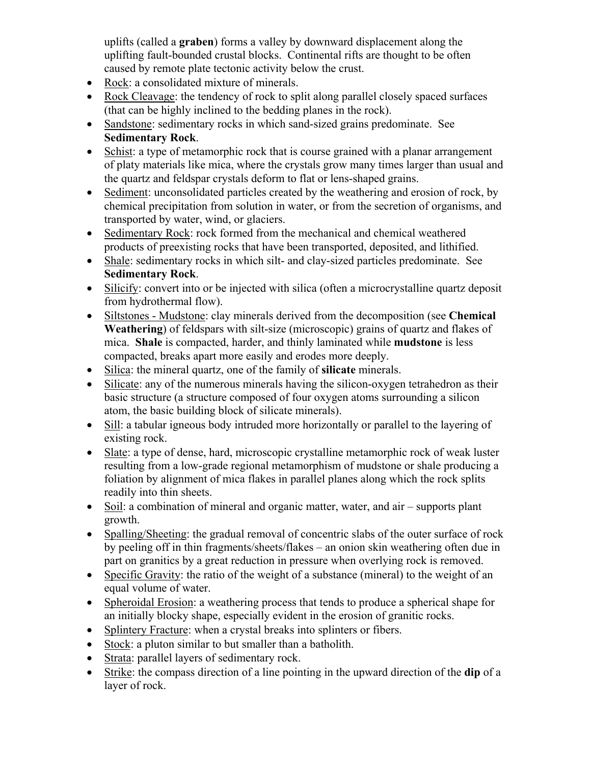uplifts (called a **graben**) forms a valley by downward displacement along the uplifting fault-bounded crustal blocks. Continental rifts are thought to be often caused by remote plate tectonic activity below the crust.

- Rock: a consolidated mixture of minerals.
- Rock Cleavage: the tendency of rock to split along parallel closely spaced surfaces (that can be highly inclined to the bedding planes in the rock).
- Sandstone: sedimentary rocks in which sand-sized grains predominate. See **Sedimentary Rock**.
- Schist: a type of metamorphic rock that is course grained with a planar arrangement of platy materials like mica, where the crystals grow many times larger than usual and the quartz and feldspar crystals deform to flat or lens-shaped grains.
- Sediment: unconsolidated particles created by the weathering and erosion of rock, by chemical precipitation from solution in water, or from the secretion of organisms, and transported by water, wind, or glaciers.
- Sedimentary Rock: rock formed from the mechanical and chemical weathered products of preexisting rocks that have been transported, deposited, and lithified.
- Shale: sedimentary rocks in which silt- and clay-sized particles predominate. See **Sedimentary Rock**.
- Silicify: convert into or be injected with silica (often a microcrystalline quartz deposit from hydrothermal flow).
- Siltstones Mudstone: clay minerals derived from the decomposition (see **Chemical Weathering**) of feldspars with silt-size (microscopic) grains of quartz and flakes of mica. **Shale** is compacted, harder, and thinly laminated while **mudstone** is less compacted, breaks apart more easily and erodes more deeply.
- Silica: the mineral quartz, one of the family of **silicate** minerals.
- Silicate: any of the numerous minerals having the silicon-oxygen tetrahedron as their basic structure (a structure composed of four oxygen atoms surrounding a silicon atom, the basic building block of silicate minerals).
- Sill: a tabular igneous body intruded more horizontally or parallel to the layering of existing rock.
- Slate: a type of dense, hard, microscopic crystalline metamorphic rock of weak luster resulting from a low-grade regional metamorphism of mudstone or shale producing a foliation by alignment of mica flakes in parallel planes along which the rock splits readily into thin sheets.
- Soil: a combination of mineral and organic matter, water, and air supports plant growth.
- Spalling/Sheeting: the gradual removal of concentric slabs of the outer surface of rock by peeling off in thin fragments/sheets/flakes – an onion skin weathering often due in part on granitics by a great reduction in pressure when overlying rock is removed.
- Specific Gravity: the ratio of the weight of a substance (mineral) to the weight of an equal volume of water.
- Spheroidal Erosion: a weathering process that tends to produce a spherical shape for an initially blocky shape, especially evident in the erosion of granitic rocks.
- Splintery Fracture: when a crystal breaks into splinters or fibers.
- Stock: a pluton similar to but smaller than a batholith.
- Strata: parallel layers of sedimentary rock.
- Strike: the compass direction of a line pointing in the upward direction of the **dip** of a layer of rock.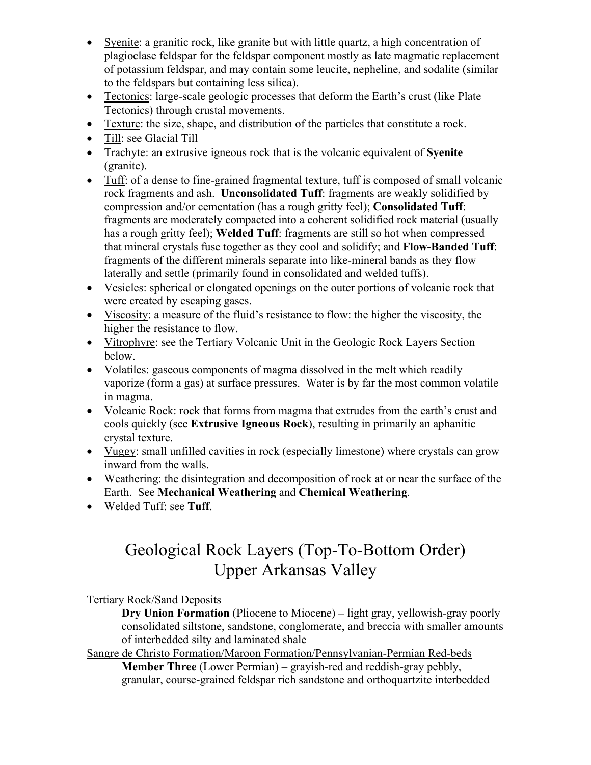- Syenite: a granitic rock, like granite but with little quartz, a high concentration of plagioclase feldspar for the feldspar component mostly as late magmatic replacement of potassium feldspar, and may contain some leucite, nepheline, and sodalite (similar to the feldspars but containing less silica).
- Tectonics: large-scale geologic processes that deform the Earth's crust (like Plate) Tectonics) through crustal movements.
- Texture: the size, shape, and distribution of the particles that constitute a rock.
- Till: see Glacial Till
- Trachyte: an extrusive igneous rock that is the volcanic equivalent of **Syenite** (granite).
- Tuff: of a dense to fine-grained fragmental texture, tuff is composed of small volcanic rock fragments and ash. **Unconsolidated Tuff**: fragments are weakly solidified by compression and/or cementation (has a rough gritty feel); **Consolidated Tuff**: fragments are moderately compacted into a coherent solidified rock material (usually has a rough gritty feel); **Welded Tuff**: fragments are still so hot when compressed that mineral crystals fuse together as they cool and solidify; and **Flow-Banded Tuff**: fragments of the different minerals separate into like-mineral bands as they flow laterally and settle (primarily found in consolidated and welded tuffs).
- Vesicles: spherical or elongated openings on the outer portions of volcanic rock that were created by escaping gases.
- Viscosity: a measure of the fluid's resistance to flow: the higher the viscosity, the higher the resistance to flow.
- Vitrophyre: see the Tertiary Volcanic Unit in the Geologic Rock Layers Section below.
- Volatiles: gaseous components of magma dissolved in the melt which readily vaporize (form a gas) at surface pressures. Water is by far the most common volatile in magma.
- Volcanic Rock: rock that forms from magma that extrudes from the earth's crust and cools quickly (see **Extrusive Igneous Rock**), resulting in primarily an aphanitic crystal texture.
- Vuggy: small unfilled cavities in rock (especially limestone) where crystals can grow inward from the walls.
- Weathering: the disintegration and decomposition of rock at or near the surface of the Earth. See **Mechanical Weathering** and **Chemical Weathering**.
- Welded Tuff: see **Tuff**.

### Geological Rock Layers (Top-To-Bottom Order) Upper Arkansas Valley

Tertiary Rock/Sand Deposits

**Dry Union Formation** (Pliocene to Miocene) **–** light gray, yellowish-gray poorly consolidated siltstone, sandstone, conglomerate, and breccia with smaller amounts of interbedded silty and laminated shale

Sangre de Christo Formation/Maroon Formation/Pennsylvanian-Permian Red-beds **Member Three** (Lower Permian) – grayish-red and reddish-gray pebbly, granular, course-grained feldspar rich sandstone and orthoquartzite interbedded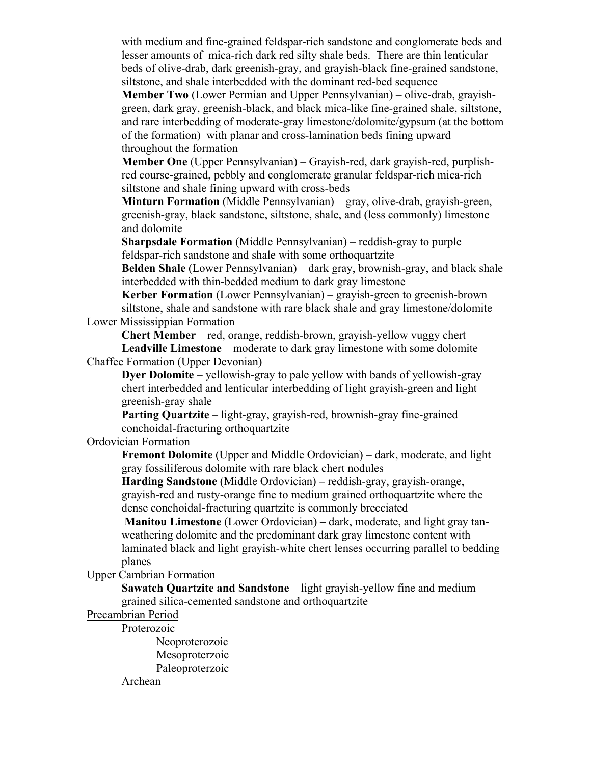with medium and fine-grained feldspar-rich sandstone and conglomerate beds and lesser amounts of mica-rich dark red silty shale beds. There are thin lenticular beds of olive-drab, dark greenish-gray, and grayish-black fine-grained sandstone, siltstone, and shale interbedded with the dominant red-bed sequence

**Member Two** (Lower Permian and Upper Pennsylvanian) – olive-drab, grayishgreen, dark gray, greenish-black, and black mica-like fine-grained shale, siltstone, and rare interbedding of moderate-gray limestone/dolomite/gypsum (at the bottom of the formation) with planar and cross-lamination beds fining upward throughout the formation

**Member One** (Upper Pennsylvanian) – Grayish-red, dark grayish-red, purplishred course-grained, pebbly and conglomerate granular feldspar-rich mica-rich siltstone and shale fining upward with cross-beds

**Minturn Formation** (Middle Pennsylvanian) – gray, olive-drab, grayish-green, greenish-gray, black sandstone, siltstone, shale, and (less commonly) limestone and dolomite

**Sharpsdale Formation** (Middle Pennsylvanian) – reddish-gray to purple feldspar-rich sandstone and shale with some orthoquartzite

**Belden Shale** (Lower Pennsylvanian) – dark gray, brownish-gray, and black shale interbedded with thin-bedded medium to dark gray limestone

**Kerber Formation** (Lower Pennsylvanian) – grayish-green to greenish-brown siltstone, shale and sandstone with rare black shale and gray limestone/dolomite Lower Mississippian Formation

**Chert Member** – red, orange, reddish-brown, grayish-yellow vuggy chert **Leadville Limestone** – moderate to dark gray limestone with some dolomite Chaffee Formation (Upper Devonian)

**Dyer Dolomite** – yellowish-gray to pale yellow with bands of yellowish-gray chert interbedded and lenticular interbedding of light grayish-green and light greenish-gray shale

**Parting Quartzite** – light-gray, grayish-red, brownish-gray fine-grained conchoidal-fracturing orthoquartzite

Ordovician Formation

**Fremont Dolomite** (Upper and Middle Ordovician) – dark, moderate, and light gray fossiliferous dolomite with rare black chert nodules

**Harding Sandstone** (Middle Ordovician) **–** reddish-gray, grayish-orange, grayish-red and rusty-orange fine to medium grained orthoquartzite where the dense conchoidal-fracturing quartzite is commonly brecciated

**Manitou Limestone** (Lower Ordovician) **–** dark, moderate, and light gray tanweathering dolomite and the predominant dark gray limestone content with laminated black and light grayish-white chert lenses occurring parallel to bedding planes

Upper Cambrian Formation

**Sawatch Quartzite and Sandstone** – light grayish-yellow fine and medium grained silica-cemented sandstone and orthoquartzite

Precambrian Period

Proterozoic

Neoproterozoic Mesoproterzoic Paleoproterzoic Archean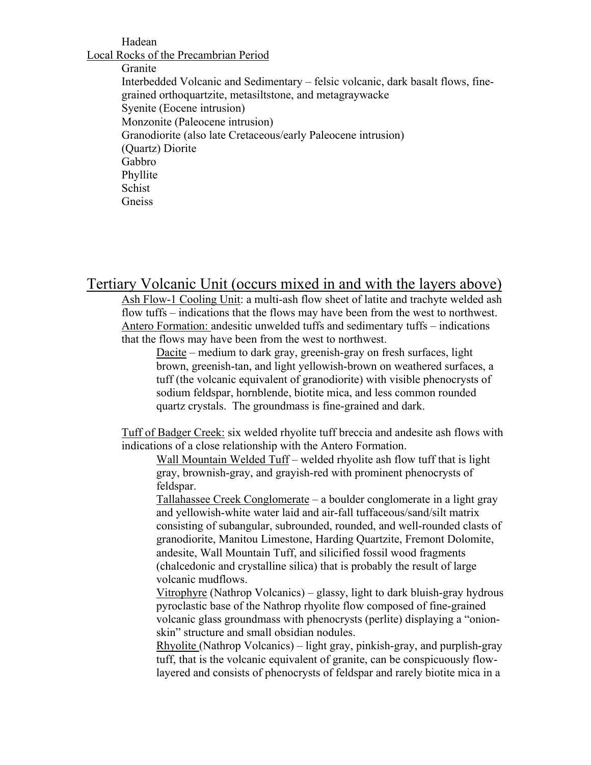#### Hadean

Local Rocks of the Precambrian Period

Granite Interbedded Volcanic and Sedimentary – felsic volcanic, dark basalt flows, finegrained orthoquartzite, metasiltstone, and metagraywacke Syenite (Eocene intrusion) Monzonite (Paleocene intrusion) Granodiorite (also late Cretaceous/early Paleocene intrusion) (Quartz) Diorite Gabbro Phyllite Schist Gneiss

Tertiary Volcanic Unit (occurs mixed in and with the layers above)

Ash Flow-1 Cooling Unit: a multi-ash flow sheet of latite and trachyte welded ash flow tuffs – indications that the flows may have been from the west to northwest. Antero Formation: andesitic unwelded tuffs and sedimentary tuffs – indications that the flows may have been from the west to northwest.

Dacite – medium to dark gray, greenish-gray on fresh surfaces, light brown, greenish-tan, and light yellowish-brown on weathered surfaces, a tuff (the volcanic equivalent of granodiorite) with visible phenocrysts of sodium feldspar, hornblende, biotite mica, and less common rounded quartz crystals. The groundmass is fine-grained and dark.

Tuff of Badger Creek: six welded rhyolite tuff breccia and andesite ash flows with indications of a close relationship with the Antero Formation.

Wall Mountain Welded Tuff – welded rhyolite ash flow tuff that is light gray, brownish-gray, and grayish-red with prominent phenocrysts of feldspar.

Tallahassee Creek Conglomerate – a boulder conglomerate in a light gray and yellowish-white water laid and air-fall tuffaceous/sand/silt matrix consisting of subangular, subrounded, rounded, and well-rounded clasts of granodiorite, Manitou Limestone, Harding Quartzite, Fremont Dolomite, andesite, Wall Mountain Tuff, and silicified fossil wood fragments (chalcedonic and crystalline silica) that is probably the result of large volcanic mudflows.

Vitrophyre (Nathrop Volcanics) – glassy, light to dark bluish-gray hydrous pyroclastic base of the Nathrop rhyolite flow composed of fine-grained volcanic glass groundmass with phenocrysts (perlite) displaying a "onionskin" structure and small obsidian nodules.

Rhyolite (Nathrop Volcanics) – light gray, pinkish-gray, and purplish-gray tuff, that is the volcanic equivalent of granite, can be conspicuously flowlayered and consists of phenocrysts of feldspar and rarely biotite mica in a